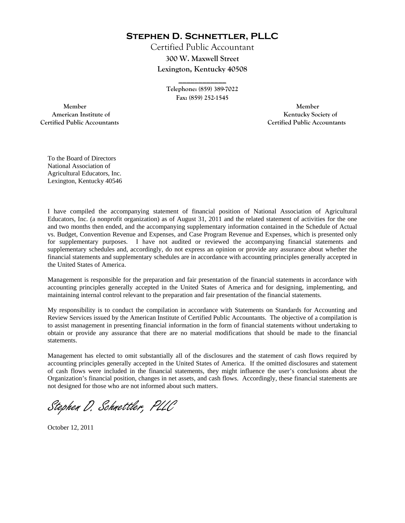**Stephen D. Schnettler, PLLC**

Certified Public Accountant **300 W. Maxwell Street Lexington, Kentucky 40508** 

> **Telephone: (859) 389-7022 Fax: (859) 252-1545**

**\_\_\_\_\_\_\_\_\_\_\_\_** 

 **Member Member Certified Public Accountants Certified Public Accountants** 

American Institute of **Kentucky Society of American Institute of** 

To the Board of Directors National Association of Agricultural Educators, Inc. Lexington, Kentucky 40546

I have compiled the accompanying statement of financial position of National Association of Agricultural Educators, Inc. (a nonprofit organization) as of August 31, 2011 and the related statement of activities for the one and two months then ended, and the accompanying supplementary information contained in the Schedule of Actual vs. Budget, Convention Revenue and Expenses, and Case Program Revenue and Expenses, which is presented only for supplementary purposes. I have not audited or reviewed the accompanying financial statements and supplementary schedules and, accordingly, do not express an opinion or provide any assurance about whether the financial statements and supplementary schedules are in accordance with accounting principles generally accepted in the United States of America.

Management is responsible for the preparation and fair presentation of the financial statements in accordance with accounting principles generally accepted in the United States of America and for designing, implementing, and maintaining internal control relevant to the preparation and fair presentation of the financial statements.

My responsibility is to conduct the compilation in accordance with Statements on Standards for Accounting and Review Services issued by the American Institute of Certified Public Accountants. The objective of a compilation is to assist management in presenting financial information in the form of financial statements without undertaking to obtain or provide any assurance that there are no material modifications that should be made to the financial statements.

Management has elected to omit substantially all of the disclosures and the statement of cash flows required by accounting principles generally accepted in the United States of America. If the omitted disclosures and statement of cash flows were included in the financial statements, they might influence the user's conclusions about the Organization's financial position, changes in net assets, and cash flows. Accordingly, these financial statements are not designed for those who are not informed about such matters.

Stephen D. Schnettler, PLLC

October 12, 2011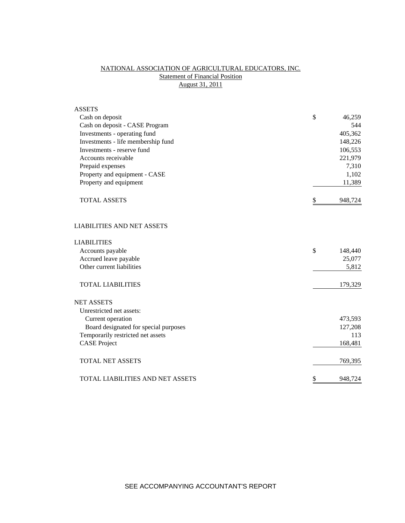# NATIONAL ASSOCIATION OF AGRICULTURAL EDUCATORS, INC. **Statement of Financial Position** August 31, 2011

| <b>ASSETS</b>                         |               |
|---------------------------------------|---------------|
| Cash on deposit                       | \$<br>46,259  |
| Cash on deposit - CASE Program        | 544           |
| Investments - operating fund          | 405,362       |
| Investments - life membership fund    | 148,226       |
| Investments - reserve fund            | 106,553       |
| Accounts receivable                   | 221,979       |
| Prepaid expenses                      | 7,310         |
| Property and equipment - CASE         | 1,102         |
| Property and equipment                | 11,389        |
| <b>TOTAL ASSETS</b>                   | \$<br>948,724 |
| <b>LIABILITIES AND NET ASSETS</b>     |               |
| <b>LIABILITIES</b>                    |               |
| Accounts payable                      | \$<br>148,440 |
| Accrued leave payable                 | 25,077        |
| Other current liabilities             | 5,812         |
| <b>TOTAL LIABILITIES</b>              | 179,329       |
| <b>NET ASSETS</b>                     |               |
| Unrestricted net assets:              |               |
| Current operation                     | 473,593       |
| Board designated for special purposes | 127,208       |
| Temporarily restricted net assets     | 113           |
| <b>CASE Project</b>                   | 168,481       |
| <b>TOTAL NET ASSETS</b>               | 769,395       |
| TOTAL LIABILITIES AND NET ASSETS      | \$<br>948,724 |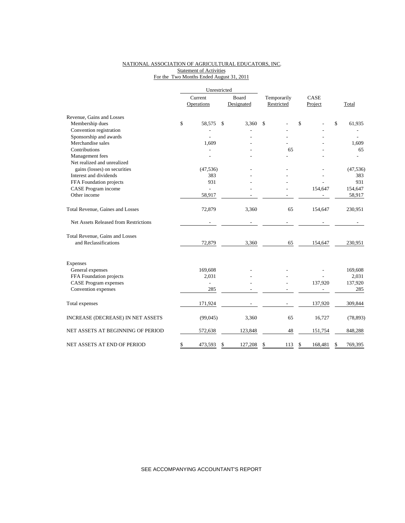### NATIONAL ASSOCIATION OF AGRICULTURAL EDUCATORS, INC. Statement of Activities For the Two Months Ended August 31, 2011

|                                       | Current<br>Operations |                | Board<br>Designated |         | Temporarily<br>Restricted |     | CASE |         |    |           |
|---------------------------------------|-----------------------|----------------|---------------------|---------|---------------------------|-----|------|---------|----|-----------|
|                                       |                       |                |                     |         |                           |     |      | Project |    | Total     |
| Revenue, Gains and Losses             |                       |                |                     |         |                           |     |      |         |    |           |
| Membership dues                       | \$                    | 58,575         | $\mathbb{S}$        | 3,360   | \$                        |     | \$   |         | \$ | 61,935    |
| Convention registration               |                       |                |                     |         |                           |     |      |         |    |           |
| Sponsorship and awards                |                       |                |                     |         |                           |     |      |         |    |           |
| Merchandise sales                     |                       | 1,609          |                     |         |                           |     |      |         |    | 1,609     |
| Contributions                         |                       |                |                     |         |                           | 65  |      |         |    | 65        |
| Management fees                       |                       |                |                     |         |                           |     |      |         |    |           |
| Net realized and unrealized           |                       |                |                     |         |                           |     |      |         |    |           |
| gains (losses) on securities          |                       | (47, 536)      |                     |         |                           |     |      |         |    | (47, 536) |
| Interest and dividends                |                       | 383            |                     |         |                           |     |      |         |    | 383       |
| FFA Foundation projects               |                       | 931            |                     |         |                           |     |      |         |    | 931       |
| CASE Program income                   |                       | $\overline{a}$ |                     |         |                           |     |      | 154,647 |    | 154,647   |
| Other income                          |                       | 58,917         |                     |         |                           |     |      |         |    | 58,917    |
| Total Revenue, Gaines and Losses      |                       | 72,879         |                     | 3,360   |                           | 65  |      | 154,647 |    | 230,951   |
| Net Assets Released from Restrictions |                       |                |                     |         |                           |     |      |         |    |           |
| Total Revenue, Gains and Losses       |                       |                |                     |         |                           |     |      |         |    |           |
| and Reclassifications                 |                       | 72,879         |                     | 3,360   |                           | 65  |      | 154,647 |    | 230,951   |
| Expenses                              |                       |                |                     |         |                           |     |      |         |    |           |
| General expenses                      |                       | 169,608        |                     |         |                           |     |      |         |    | 169,608   |
| FFA Foundation projects               |                       | 2,031          |                     |         |                           |     |      |         |    | 2,031     |
| <b>CASE Program expenses</b>          |                       | $\overline{a}$ |                     |         |                           |     |      | 137,920 |    | 137,920   |
| Convention expenses                   |                       | 285            |                     |         |                           |     |      |         |    | 285       |
| Total expenses                        |                       | 171,924        |                     |         |                           |     |      | 137,920 |    | 309,844   |
| INCREASE (DECREASE) IN NET ASSETS     |                       | (99,045)       |                     | 3,360   |                           | 65  |      | 16,727  |    | (78, 893) |
| NET ASSETS AT BEGINNING OF PERIOD     |                       | 572,638        |                     | 123,848 |                           | 48  |      | 151,754 |    | 848,288   |
| NET ASSETS AT END OF PERIOD           | \$                    | 473,593        | S                   | 127,208 | \$                        | 113 | \$   | 168,481 | S  | 769,395   |

SEE ACCOMPANYING ACCOUNTANT'S REPORT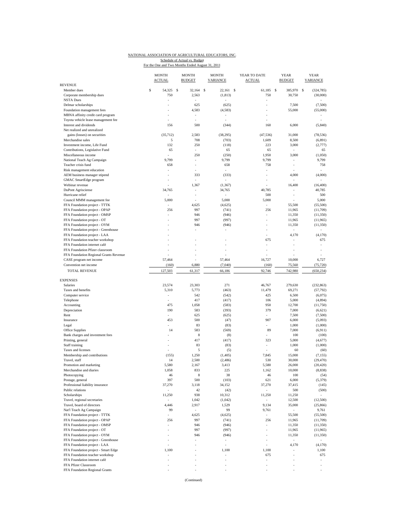# NATIONAL ASSOCIATION OF AGRICULTURAL EDUCATORS, INC.

Schedule of Actual vs. Budget<br>For the One and Two Months Ended August 31, 2011

| <b>REVENUE</b>                                                            | <b>MONTH</b><br><b>ACTUAL</b> | <b>MONTH</b><br><b>BUDGET</b> | <b>MONTH</b><br><b>VARIANCE</b> | YEAR TO DATE<br><b>ACTUAL</b> | <b>YEAR</b><br><b>BUDGET</b> | <b>YEAR</b><br><b>VARIANCE</b> |
|---------------------------------------------------------------------------|-------------------------------|-------------------------------|---------------------------------|-------------------------------|------------------------------|--------------------------------|
| Member dues                                                               | \$<br>54,325                  | 32,164<br><b>S</b>            | $\mathsf{\$}$<br>22,161         | -S<br>61.185                  | $\mathbf s$<br>385,970       | S<br>(324, 785)                |
| Corporate membership dues                                                 | 750                           | 2,563                         | (1, 813)                        | 750                           | 30,750                       | (30,000)                       |
| <b>NSTA Dues</b>                                                          | ÷,                            | ä,                            |                                 | ÷,                            |                              |                                |
| Delmar scholarships                                                       |                               | 625                           | (625)                           |                               | 7,500                        | (7,500)                        |
| Foundation management fees<br>MBNA affinity credit card program           |                               | 4,583                         | (4, 583)                        |                               | 55,000                       | (55,000)                       |
| Toyota vehicle lease management fee                                       |                               | ä,                            | ä,                              |                               |                              |                                |
| Interest and dividends                                                    | 156                           | 500                           | (344)                           | 160                           | 6,000                        | (5, 840)                       |
| Net realized and unrealized                                               |                               |                               |                                 |                               |                              |                                |
| gains (losses) on securities                                              | (35, 712)                     | 2,583                         | (38, 295)                       | (47, 536)                     | 31,000                       | (78, 536)                      |
| Merchandise sales                                                         | 5                             | 708                           | (703)                           | 1,609                         | 8,500                        | (6, 891)                       |
| Investment income, Life Fund<br>Contributions, Legislative Fund           | 132<br>65                     | 250<br>÷.                     | (118)<br>65                     | 223<br>65                     | 3,000<br>÷,                  | (2,777)<br>65                  |
| Miscellaneous income                                                      | ä,                            | 250                           | (250)                           | 1,950                         | 3,000                        | (1,050)                        |
| National Teach Ag Campaign                                                | 9,799                         | ÷                             | 9,799                           | 9,799                         | ÷                            | 9,799                          |
| Teacher crisis fund                                                       | 658                           |                               | 658                             | 758                           | ł,                           | 758                            |
| Risk management education                                                 | ×,                            |                               |                                 |                               |                              |                                |
| AEM business manager stipend                                              |                               | 333                           | (333)                           |                               | 4,000                        | (4,000)                        |
| GMAC SmartEdge program<br>Webinar revenue                                 |                               | 1,367                         | (1, 367)                        |                               | 16,400                       | (16, 400)                      |
| DuPont Agrisciense                                                        | 34,765                        | ä,                            | 34,765                          | 40,785                        | $\overline{\phantom{a}}$     | 40,785                         |
| Hurricane relief                                                          |                               | $\overline{\phantom{m}}$      |                                 | 500                           | ٠                            | 500                            |
| Council MMM management fee                                                | 5,000                         |                               | 5,000                           | 5,000                         |                              | 5,000                          |
| FFA Foundation project - TTTK                                             |                               | 4,625                         | (4,625)                         |                               | 55,500                       | (55,500)                       |
| FFA Foundation project - OPAP                                             | 256                           | 997                           | (741)                           | 256                           | 11,965                       | (11,709)                       |
| FFA Foundation project - OMSP<br>FFA Foundation project - OT              | ÷,                            | 946<br>997                    | (946)<br>(997)                  | ä,                            | 11,350<br>11,965             | (11, 350)<br>(11,965)          |
| FFA Foundation project - OYM                                              |                               | 946                           | (946)                           |                               | 11,350                       | (11,350)                       |
| FFA Foundation project - Greenhouse                                       |                               |                               | ÷,                              |                               | ä,                           |                                |
| FFA Foundation project - LAA                                              |                               |                               |                                 | ÷                             | 4,170                        | (4,170)                        |
| FFA Foundation teacher workshop                                           |                               |                               |                                 | 675                           |                              | 675                            |
| FFA Foundation internet café                                              |                               |                               |                                 | ÷                             |                              |                                |
| FFA Foundation Pfizer classroom<br>FFA Foundation Regional Grants Revenue |                               | ä,                            |                                 |                               |                              |                                |
| CASE program net income                                                   | 57,464                        |                               | 57,464                          | 16,727                        | 10,000                       | 6,727                          |
| Convention net income                                                     | (160)                         | 6,880                         | (7,040)                         | (160)                         | 75,560                       | (75, 720)                      |
| <b>TOTAL REVENUE</b>                                                      | 127,503                       | 61,317                        | 66,186                          | 92,746                        | 742,980                      | (650, 234)                     |
|                                                                           |                               |                               |                                 |                               |                              |                                |
| <b>EXPENSES</b>                                                           |                               |                               |                                 |                               |                              |                                |
| Salaries<br>Taxes and benefits                                            | 23,574                        | 23,303                        | 271                             | 46,767<br>11,479              | 279,630                      | (232, 863)<br>(57, 792)        |
| Computer service                                                          | 5,310<br>÷                    | 5,773<br>542                  | (463)<br>(542)                  | 425                           | 69,271<br>6,500              | (6,075)                        |
| Telephone                                                                 |                               | 417                           | (417)                           | 106                           | 5,000                        | (4,894)                        |
| Accounting                                                                | 475                           | 1,058                         | (583)                           | 950                           | 12,700                       | (11,750)                       |
| Depreciation                                                              | 190                           | 583                           | (393)                           | 379                           | 7,000                        | (6,621)                        |
| Rent                                                                      |                               | 625                           | (625)                           |                               | 7,500                        | (7,500)                        |
| Insurance                                                                 | 453<br>ä,                     | 500                           | (47)                            | 907                           | 6,000                        | (5,093)                        |
| Legal<br>Office Supplies                                                  | 14                            | 83<br>583                     | (83)<br>(569)                   | 89                            | 1,000<br>7,000               | (1,000)<br>(6,911)             |
| Bank charges and investment fees                                          |                               | 8                             | (8)                             |                               | 100                          | (100)                          |
| Printing, general                                                         | í,                            | 417                           | (417)                           | 323                           | 5,000                        | (4,677)                        |
| Staff training                                                            |                               | 83                            | (83)                            |                               | 1,000                        | (1,000)                        |
| Taxes and licenses                                                        | ä,                            | 5                             | (5)                             | ä,                            | 60                           | (60)                           |
| Membership and contributions<br>Travel, staff                             | (155)<br>14                   | 1,250<br>2,500                | (1,405)                         | 7,845<br>530                  | 15,000<br>30,000             | (7, 155)<br>(29, 470)          |
| Promotion and marketing                                                   | 5,580                         | 2,167                         | (2,486)<br>3,413                | 5,580                         | 26,000                       | (20, 420)                      |
| Merchandise and diaries                                                   | 1,058                         | 833                           | 225                             | 1,162                         | 10,000                       | (8, 838)                       |
| Photocopying                                                              | 46                            | 8                             | 38                              | 46                            | 100                          | (54)                           |
| Postage, general                                                          | 397                           | 500                           | (103)                           | 621                           | 6,000                        | (5,379)                        |
| Professional liability insurance                                          | 37,270                        | 3,118                         | 34,152                          | 37,270                        | 37,415                       | (145)                          |
| Public relations<br>Scholarships                                          | 11,250                        | 42<br>938                     | (42)<br>10,312                  | 11,250                        | 500                          | (500)                          |
| Travel, regional secretaries                                              | ÷.                            | 1,042                         | (1,042)                         | $\overline{\phantom{a}}$      | 11,250<br>12,500             | (12,500)                       |
| Travel, board of directors                                                | 4,446                         | 2,917                         | 1,529                           | 9,134                         | 35,000                       | (25, 866)                      |
| Nat'l Teach Ag Campaign                                                   | 99                            | $\omega$                      | 99                              | 9,761                         | ä,                           | 9,761                          |
| FFA Foundation project - TTTK                                             |                               | 4,625                         | (4,625)                         | $\overline{\phantom{a}}$      | 55,500                       | (55,500)                       |
| FFA Foundation project - OPAP                                             | 256                           | 997                           | (741)                           | 256                           | 11,965                       | (11,709)                       |
| FFA Foundation project - OMSP                                             | $\frac{1}{2}$                 | 946                           | (946)                           | ÷,                            | 11,350                       | (11,350)                       |
| FFA Foundation project - OT<br>FFA Foundation project - OYM               | ä,<br>ä,                      | 997<br>946                    | (997)<br>(946)                  | ä,<br>÷,                      | 11,965<br>11,350             | (11,965)<br>(11, 350)          |
| FFA Foundation project - Greenhouse                                       |                               |                               | $\overline{\phantom{a}}$        |                               | $\overline{\phantom{a}}$     | $\sim$                         |
| FFA Foundation project - LAA                                              | ÷,                            | ä,                            | ÷                               | $\sim$                        | 4,170                        | (4,170)                        |
| FFA Foundation project - Smart Edge                                       | 1,100                         |                               | 1,100                           | 1,100                         |                              | 1,100                          |
| FFA Foundation teacher workshop                                           | ä,                            |                               | ٠                               | 675                           | i,                           | 675                            |
| FFA Foundation internet café                                              |                               |                               | í,                              |                               |                              |                                |
| FFA Pfizer Classroom<br>FFA Foundation Regional Grants                    | ÷                             |                               | i,<br>÷                         | ÷                             |                              |                                |
|                                                                           |                               |                               |                                 |                               |                              |                                |

(Continued)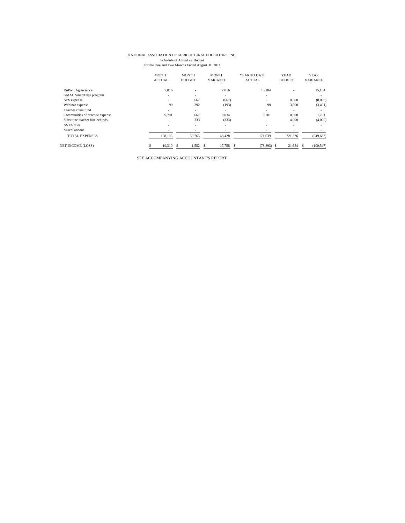## NATIONAL ASSOCIATION OF AGRICULTURAL EDUCATORS, INC.

Schedule of Actual vs. Budget<br>For the One and Two Months Ended August 31, 2011

|                                 | <b>MONTH</b><br><b>ACTUAL</b> | <b>MONTH</b><br><b>BUDGET</b> | <b>MONTH</b><br>VARIANCE | YEAR TO DATE<br><b>ACTUAL</b> | <b>YEAR</b><br><b>BUDGET</b> | <b>YEAR</b><br>VARIANCE |
|---------------------------------|-------------------------------|-------------------------------|--------------------------|-------------------------------|------------------------------|-------------------------|
| DuPont Agriscience              | 7,016                         | $\overline{\phantom{a}}$      | 7,016                    | 15,184                        |                              | 15,184                  |
| <b>GMAC</b> SmartEdge program   | ٠                             | ۰                             | $\sim$                   | $\overline{\phantom{a}}$      |                              | $\sim$                  |
| NPS expense                     | ۰.                            | 667                           | (667)                    | $\overline{\phantom{a}}$      | 8,000                        | (8,000)                 |
| Webinar expense                 | 99                            | 292                           | (193)                    | 99                            | 3,500                        | (3,401)                 |
| Teacher crisis fund             | -                             | $\overline{\phantom{a}}$      | $\overline{\phantom{a}}$ |                               | $\overline{\phantom{a}}$     |                         |
| Communities of practice expense | 9.701                         | 667                           | 9,034                    | 9,701                         | 8,000                        | 1,701                   |
| Substitute teacher hire behinds | ٠                             | 333                           | (333)                    | $\overline{\phantom{a}}$      | 4,000                        | (4,000)                 |
| NSTA dues                       | ٠                             | $\overline{\phantom{a}}$      | ۰                        | $\overline{\phantom{a}}$      | $\overline{\phantom{a}}$     |                         |
| Miscellaneous                   | ٠                             | $\overline{\phantom{a}}$      | $\overline{\phantom{a}}$ |                               | $\overline{\phantom{a}}$     |                         |
| <b>TOTAL EXPENSES</b>           | 108,193                       | 59,765                        | 48,428                   | 171,639                       | 721,326                      | (549, 687)              |
| <b>NET INCOME (LOSS)</b>        | 19,310                        | 1,552                         | 17,758<br>S              | (78, 893)<br>\$.              | 21,654<br>.S                 | (100, 547)<br>s         |

SEE ACCOMPANYING ACCOUNTANT'S REPORT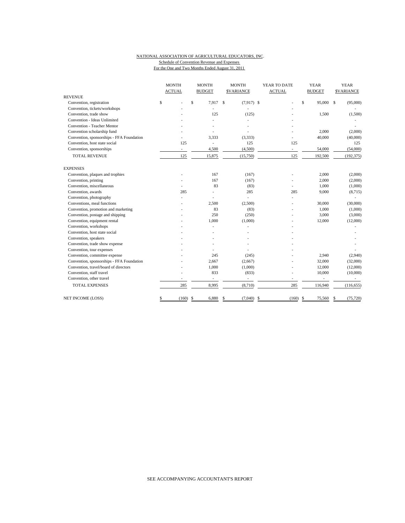#### NATIONAL ASSOCIATION OF AGRICULTURAL EDUCATORS, INC. Schedule of Convention Revenue and Expenses For the One and Two Months Ended August 31, 2011

|                                           | <b>MONTH</b>                   | <b>MONTH</b>             |                   | YEAR TO DATE             | <b>YEAR</b>              | <b>YEAR</b>       |  |
|-------------------------------------------|--------------------------------|--------------------------|-------------------|--------------------------|--------------------------|-------------------|--|
|                                           | <b>ACTUAL</b><br><b>BUDGET</b> |                          | <b>SVARIANCE</b>  | <b>ACTUAL</b>            | <b>BUDGET</b>            | <b>\$VARIANCE</b> |  |
| <b>REVENUE</b>                            |                                |                          |                   |                          |                          |                   |  |
| Convention, registration                  | \$                             | $\mathsf{s}$<br>7.917    | S<br>$(7,917)$ \$ |                          | \$<br>95,000 \$          | (95,000)          |  |
| Convention, tickets/workshops             |                                |                          |                   |                          |                          |                   |  |
| Convention, trade show                    |                                | 125                      | (125)             |                          | 1,500                    | (1,500)           |  |
| Convention - Ideas Unlimited              |                                |                          |                   |                          |                          |                   |  |
| Convention - Teacher Mentor               |                                |                          |                   |                          |                          |                   |  |
| Convention scholarship fund               |                                |                          |                   |                          | 2,000                    | (2,000)           |  |
| Convention, sponsorships - FFA Foundation |                                | 3,333                    | (3, 333)          |                          | 40,000                   | (40,000)          |  |
| Convention, host state social             | 125                            | $\overline{\phantom{a}}$ | 125               | 125                      |                          | 125               |  |
| Convention, sponsorships                  | $\overline{\phantom{a}}$       | 4,500                    | (4,500)           | $\overline{\phantom{a}}$ | 54,000                   | (54,000)          |  |
| <b>TOTAL REVENUE</b>                      | 125                            | 15,875                   | (15,750)          | 125                      | 192,500                  | (192, 375)        |  |
| <b>EXPENSES</b>                           |                                |                          |                   |                          |                          |                   |  |
| Convention, plaques and trophies          |                                | 167                      | (167)             | ÷,                       | 2,000                    | (2,000)           |  |
| Convention, printing                      |                                | 167                      | (167)             |                          | 2,000                    | (2,000)           |  |
| Convention, miscellaneous                 |                                | 83                       | (83)              | L.                       | 1,000                    | (1,000)           |  |
| Convention, awards                        | 285                            | Ĭ.                       | 285               | 285                      | 9,000                    | (8,715)           |  |
| Convention, photography                   |                                |                          | L.                |                          |                          |                   |  |
| Conventions, meal functions               |                                | 2.500                    | (2,500)           |                          | 30,000                   | (30,000)          |  |
| Convention, promotion and marketing       |                                | 83                       | (83)              |                          | 1,000                    | (1,000)           |  |
| Convention, postage and shipping          |                                | 250                      | (250)             |                          | 3,000                    | (3,000)           |  |
| Convention, equipment rental              |                                | 1,000                    | (1,000)           |                          | 12,000                   | (12,000)          |  |
| Convention, workshops                     |                                |                          |                   |                          |                          |                   |  |
| Convention, host state social             |                                |                          |                   |                          |                          |                   |  |
| Convention, speakers                      |                                |                          |                   |                          |                          |                   |  |
| Convention, trade show expense            |                                |                          |                   |                          |                          |                   |  |
| Convention, tour expenses                 |                                |                          |                   |                          |                          |                   |  |
| Convention, committee expense             |                                | 245                      | (245)             |                          | 2,940                    | (2,940)           |  |
| Convention, sponsorships - FFA Foundation |                                | 2,667                    | (2,667)           |                          | 32,000                   | (32,000)          |  |
| Convention, travel/board of directors     |                                | 1,000                    | (1,000)           |                          | 12,000                   | (12,000)          |  |
| Convention, staff travel                  |                                | 833                      | (833)             |                          | 10,000                   | (10,000)          |  |
| Convention, other travel                  |                                | $\overline{\phantom{a}}$ | ä,                | ÷,                       | $\overline{\phantom{0}}$ |                   |  |
| <b>TOTAL EXPENSES</b>                     | 285                            | 8,995                    | (8,710)           | 285                      | 116,940                  | (116, 655)        |  |
| NET INCOME (LOSS)                         | (160)<br>\$                    | 6,880<br><sup>\$</sup>   | (7,040)<br>\$     | -\$<br>(160)             | -\$<br>75,560            | (75, 720)<br>S    |  |